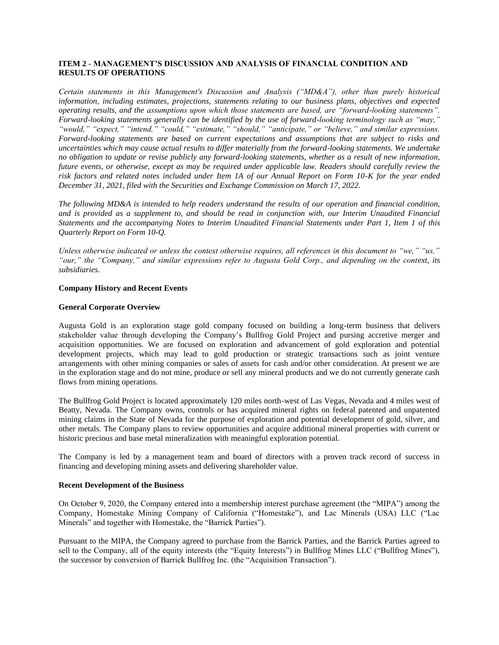# **ITEM 2 - MANAGEMENT'S DISCUSSION AND ANALYSIS OF FINANCIAL CONDITION AND RESULTS OF OPERATIONS**

*Certain statements in this Management's Discussion and Analysis ("MD&A"), other than purely historical information, including estimates, projections, statements relating to our business plans, objectives and expected operating results, and the assumptions upon which those statements are based, are "forward-looking statements". Forward-looking statements generally can be identified by the use of forward-looking terminology such as "may," "would," "expect," "intend," "could," "estimate," "should," "anticipate," or "believe," and similar expressions. Forward-looking statements are based on current expectations and assumptions that are subject to risks and uncertainties which may cause actual results to differ materially from the forward-looking statements. We undertake no obligation to update or revise publicly any forward-looking statements, whether as a result of new information, future events, or otherwise, except as may be required under applicable law. Readers should carefully review the risk factors and related notes included under Item 1A of our Annual Report on Form 10-K for the year ended December 31, 2021, filed with the Securities and Exchange Commission on March 17, 2022.*

*The following MD&A is intended to help readers understand the results of our operation and financial condition, and is provided as a supplement to, and should be read in conjunction with, our Interim Unaudited Financial Statements and the accompanying Notes to Interim Unaudited Financial Statements under Part 1, Item 1 of this Quarterly Report on Form 10-Q.*

*Unless otherwise indicated or unless the context otherwise requires, all references in this document to "we," "us," "our," the "Company," and similar expressions refer to Augusta Gold Corp., and depending on the context, its subsidiaries.*

# **Company History and Recent Events**

# **General Corporate Overview**

Augusta Gold is an exploration stage gold company focused on building a long-term business that delivers stakeholder value through developing the Company's Bullfrog Gold Project and pursing accretive merger and acquisition opportunities. We are focused on exploration and advancement of gold exploration and potential development projects, which may lead to gold production or strategic transactions such as joint venture arrangements with other mining companies or sales of assets for cash and/or other consideration. At present we are in the exploration stage and do not mine, produce or sell any mineral products and we do not currently generate cash flows from mining operations.

The Bullfrog Gold Project is located approximately 120 miles north-west of Las Vegas, Nevada and 4 miles west of Beatty, Nevada. The Company owns, controls or has acquired mineral rights on federal patented and unpatented mining claims in the State of Nevada for the purpose of exploration and potential development of gold, silver, and other metals. The Company plans to review opportunities and acquire additional mineral properties with current or historic precious and base metal mineralization with meaningful exploration potential.

The Company is led by a management team and board of directors with a proven track record of success in financing and developing mining assets and delivering shareholder value.

#### **Recent Development of the Business**

On October 9, 2020, the Company entered into a membership interest purchase agreement (the "MIPA") among the Company, Homestake Mining Company of California ("Homestake"), and Lac Minerals (USA) LLC ("Lac Minerals" and together with Homestake, the "Barrick Parties").

Pursuant to the MIPA, the Company agreed to purchase from the Barrick Parties, and the Barrick Parties agreed to sell to the Company, all of the equity interests (the "Equity Interests") in Bullfrog Mines LLC ("Bullfrog Mines"), the successor by conversion of Barrick Bullfrog Inc. (the "Acquisition Transaction").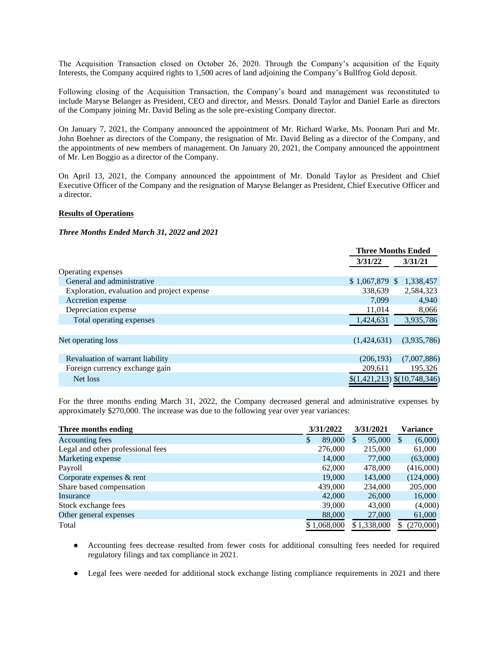The Acquisition Transaction closed on October 26, 2020. Through the Company's acquisition of the Equity Interests, the Company acquired rights to 1,500 acres of land adjoining the Company's Bullfrog Gold deposit.

Following closing of the Acquisition Transaction, the Company's board and management was reconstituted to include Maryse Belanger as President, CEO and director, and Messrs. Donald Taylor and Daniel Earle as directors of the Company joining Mr. David Beling as the sole pre-existing Company director.

On January 7, 2021, the Company announced the appointment of Mr. Richard Warke, Ms. Poonam Puri and Mr. John Boehner as directors of the Company, the resignation of Mr. David Beling as a director of the Company, and the appointments of new members of management. On January 20, 2021, the Company announced the appointment of Mr. Len Boggio as a director of the Company.

On April 13, 2021, the Company announced the appointment of Mr. Donald Taylor as President and Chief Executive Officer of the Company and the resignation of Maryse Belanger as President, Chief Executive Officer and a director.

#### **Results of Operations**

# *Three Months Ended March 31, 2022 and 2021*

|                                             | <b>Three Months Ended</b>    |
|---------------------------------------------|------------------------------|
|                                             | 3/31/22<br>3/31/21           |
| Operating expenses                          |                              |
| General and administrative                  | $$1,067,879$ \,<br>1,338,457 |
| Exploration, evaluation and project expense | 2,584,323<br>338,639         |
| Accretion expense                           | 7.099<br>4,940               |
| Depreciation expense                        | 11,014<br>8,066              |
| Total operating expenses                    | 1,424,631<br>3,935,786       |
|                                             |                              |
| Net operating loss                          | (3,935,786)<br>(1,424,631)   |
|                                             |                              |
| Revaluation of warrant liability            | (7,007,886)<br>(206, 193)    |
| Foreign currency exchange gain              | 209,611<br>195,326           |
| Net loss                                    | \$(1,421,213) \$(10,748,346) |

For the three months ending March 31, 2022, the Company decreased general and administrative expenses by approximately \$270,000. The increase was due to the following year over year variances:

| Three months ending               | 3/31/2022   |         | 3/31/2021 |             | Variance |           |
|-----------------------------------|-------------|---------|-----------|-------------|----------|-----------|
| Accounting fees                   | S           | 89,000  | \$.       | 95,000      |          | (6,000)   |
| Legal and other professional fees |             | 276,000 |           | 215,000     |          | 61,000    |
| Marketing expense                 |             | 14,000  |           | 77,000      |          | (63,000)  |
| Payroll                           |             | 62,000  |           | 478,000     |          | (416,000) |
| Corporate expenses & rent         |             | 19,000  |           | 143,000     |          | (124,000) |
| Share based compensation          |             | 439,000 |           | 234,000     |          | 205,000   |
| Insurance                         |             | 42,000  |           | 26,000      |          | 16,000    |
| Stock exchange fees               |             | 39,000  |           | 43,000      |          | (4,000)   |
| Other general expenses            |             | 88,000  |           | 27,000      |          | 61,000    |
| Total                             | \$1,068,000 |         |           | \$1,338,000 |          | (270,000) |

- Accounting fees decrease resulted from fewer costs for additional consulting fees needed for required regulatory filings and tax compliance in 2021.
- Legal fees were needed for additional stock exchange listing compliance requirements in 2021 and there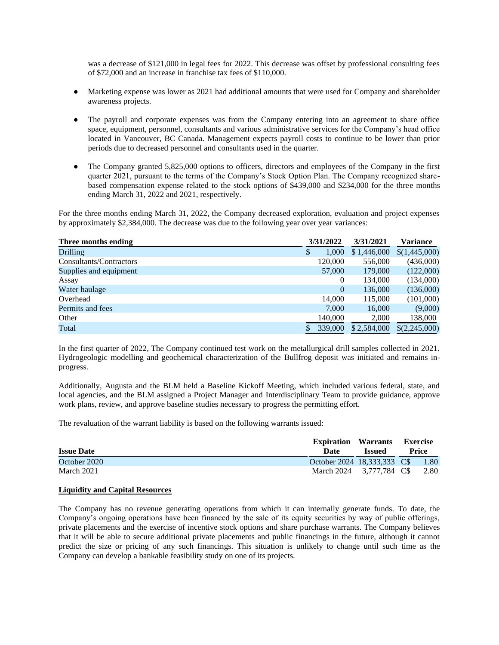was a decrease of \$121,000 in legal fees for 2022. This decrease was offset by professional consulting fees of \$72,000 and an increase in franchise tax fees of \$110,000.

- Marketing expense was lower as 2021 had additional amounts that were used for Company and shareholder awareness projects.
- The payroll and corporate expenses was from the Company entering into an agreement to share office space, equipment, personnel, consultants and various administrative services for the Company's head office located in Vancouver, BC Canada. Management expects payroll costs to continue to be lower than prior periods due to decreased personnel and consultants used in the quarter.
- The Company granted 5,825,000 options to officers, directors and employees of the Company in the first quarter 2021, pursuant to the terms of the Company's Stock Option Plan. The Company recognized sharebased compensation expense related to the stock options of \$439,000 and \$234,000 for the three months ending March 31, 2022 and 2021, respectively.

For the three months ending March 31, 2022, the Company decreased exploration, evaluation and project expenses by approximately \$2,384,000. The decrease was due to the following year over year variances:

| Three months ending     | 3/31/2022 |              | 3/31/2021   | Variance      |  |
|-------------------------|-----------|--------------|-------------|---------------|--|
| <b>Drilling</b>         | S         | 1,000        | \$1,446,000 | \$(1,445,000) |  |
| Consultants/Contractors |           | 120,000      | 556,000     | (436,000)     |  |
| Supplies and equipment  |           | 57,000       | 179,000     | (122,000)     |  |
| Assay                   |           | $\theta$     | 134,000     | (134,000)     |  |
| Water haulage           |           | $\mathbf{0}$ | 136,000     | (136,000)     |  |
| Overhead                |           | 14.000       | 115,000     | (101,000)     |  |
| Permits and fees        |           | 7.000        | 16,000      | (9,000)       |  |
| Other                   |           | 140,000      | 2,000       | 138,000       |  |
| Total                   |           | 339,000      | \$2,584,000 | \$(2,245,000) |  |

In the first quarter of 2022, The Company continued test work on the metallurgical drill samples collected in 2021. Hydrogeologic modelling and geochemical characterization of the Bullfrog deposit was initiated and remains inprogress.

Additionally, Augusta and the BLM held a Baseline Kickoff Meeting, which included various federal, state, and local agencies, and the BLM assigned a Project Manager and Interdisciplinary Team to provide guidance, approve work plans, review, and approve baseline studies necessary to progress the permitting effort.

The revaluation of the warrant liability is based on the following warrants issued:

| <b>Issue Date</b> | <b>Expiration Warrants</b><br>Date | <b>Issued</b> | <b>Exercise</b><br>Price |      |
|-------------------|------------------------------------|---------------|--------------------------|------|
| October 2020      | October 2024 18,333,333 C\$        |               |                          | 1.80 |
| March 2021        | March 2024 3.777.784 C\$           |               |                          | 2.80 |

#### **Liquidity and Capital Resources**

The Company has no revenue generating operations from which it can internally generate funds. To date, the Company's ongoing operations have been financed by the sale of its equity securities by way of public offerings, private placements and the exercise of incentive stock options and share purchase warrants. The Company believes that it will be able to secure additional private placements and public financings in the future, although it cannot predict the size or pricing of any such financings. This situation is unlikely to change until such time as the Company can develop a bankable feasibility study on one of its projects.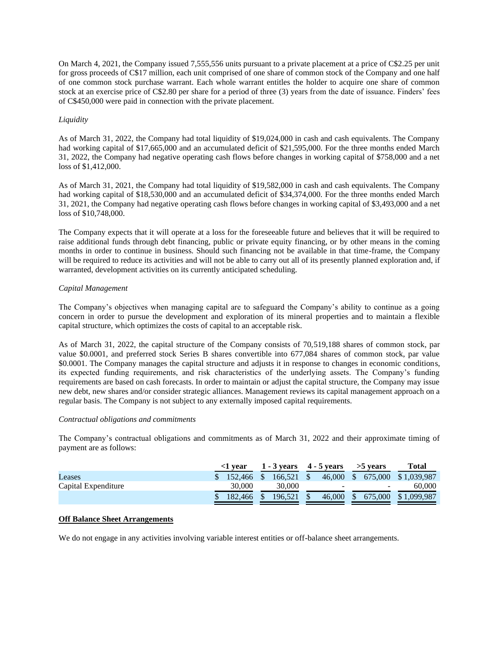On March 4, 2021, the Company issued 7,555,556 units pursuant to a private placement at a price of C\$2.25 per unit for gross proceeds of C\$17 million, each unit comprised of one share of common stock of the Company and one half of one common stock purchase warrant. Each whole warrant entitles the holder to acquire one share of common stock at an exercise price of C\$2.80 per share for a period of three (3) years from the date of issuance. Finders' fees of C\$450,000 were paid in connection with the private placement.

# *Liquidity*

As of March 31, 2022, the Company had total liquidity of \$19,024,000 in cash and cash equivalents. The Company had working capital of \$17,665,000 and an accumulated deficit of \$21,595,000. For the three months ended March 31, 2022, the Company had negative operating cash flows before changes in working capital of \$758,000 and a net loss of \$1,412,000.

As of March 31, 2021, the Company had total liquidity of \$19,582,000 in cash and cash equivalents. The Company had working capital of \$18,530,000 and an accumulated deficit of \$34,374,000. For the three months ended March 31, 2021, the Company had negative operating cash flows before changes in working capital of \$3,493,000 and a net loss of \$10,748,000.

The Company expects that it will operate at a loss for the foreseeable future and believes that it will be required to raise additional funds through debt financing, public or private equity financing, or by other means in the coming months in order to continue in business. Should such financing not be available in that time-frame, the Company will be required to reduce its activities and will not be able to carry out all of its presently planned exploration and, if warranted, development activities on its currently anticipated scheduling.

# *Capital Management*

The Company's objectives when managing capital are to safeguard the Company's ability to continue as a going concern in order to pursue the development and exploration of its mineral properties and to maintain a flexible capital structure, which optimizes the costs of capital to an acceptable risk.

As of March 31, 2022, the capital structure of the Company consists of 70,519,188 shares of common stock, par value \$0.0001, and preferred stock Series B shares convertible into 677,084 shares of common stock, par value \$0.0001. The Company manages the capital structure and adjusts it in response to changes in economic conditions, its expected funding requirements, and risk characteristics of the underlying assets. The Company's funding requirements are based on cash forecasts. In order to maintain or adjust the capital structure, the Company may issue new debt, new shares and/or consider strategic alliances. Management reviews its capital management approach on a regular basis. The Company is not subject to any externally imposed capital requirements.

#### *Contractual obligations and commitments*

The Company's contractual obligations and commitments as of March 31, 2022 and their approximate timing of payment are as follows:

|                     | l vear |                   |  |              | $1 - 3$ vears $4 - 5$ vears |        | $>5$ vears |                          | Total       |  |
|---------------------|--------|-------------------|--|--------------|-----------------------------|--------|------------|--------------------------|-------------|--|
| Leases              |        | $$152.466$ \, $$$ |  | $166.521$ \$ |                             |        |            | 46,000 \$ 675,000        | \$1,039,987 |  |
| Capital Expenditure |        | 30,000            |  | 30,000       |                             |        |            | $\overline{\phantom{0}}$ | 60.000      |  |
|                     |        | 182,466           |  | 196.521      |                             | 46,000 |            | 675,000                  | \$1,099,987 |  |

# **Off Balance Sheet Arrangements**

We do not engage in any activities involving variable interest entities or off-balance sheet arrangements.